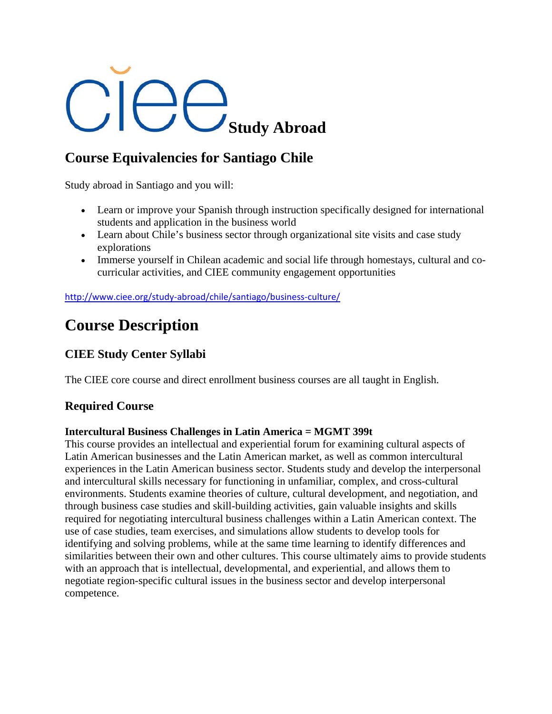# **Study Abroad**

# **Course Equivalencies for Santiago Chile**

Study abroad in Santiago and you will:

- Learn or improve your Spanish through instruction specifically designed for international students and application in the business world
- Learn about Chile's business sector through organizational site visits and case study explorations
- Immerse yourself in Chilean academic and social life through homestays, cultural and cocurricular activities, and CIEE community engagement opportunities

http://www.ciee.org/study-abroad/chile/santiago/business-culture/

# **Course Description**

## **CIEE Study Center Syllabi**

The CIEE core course and direct enrollment business courses are all taught in English.

### **Required Course**

#### **Intercultural Business Challenges in Latin America = MGMT 399t**

This course provides an intellectual and experiential forum for examining cultural aspects of Latin American businesses and the Latin American market, as well as common intercultural experiences in the Latin American business sector. Students study and develop the interpersonal and intercultural skills necessary for functioning in unfamiliar, complex, and cross-cultural environments. Students examine theories of culture, cultural development, and negotiation, and through business case studies and skill-building activities, gain valuable insights and skills required for negotiating intercultural business challenges within a Latin American context. The use of case studies, team exercises, and simulations allow students to develop tools for identifying and solving problems, while at the same time learning to identify differences and similarities between their own and other cultures. This course ultimately aims to provide students with an approach that is intellectual, developmental, and experiential, and allows them to negotiate region-specific cultural issues in the business sector and develop interpersonal competence.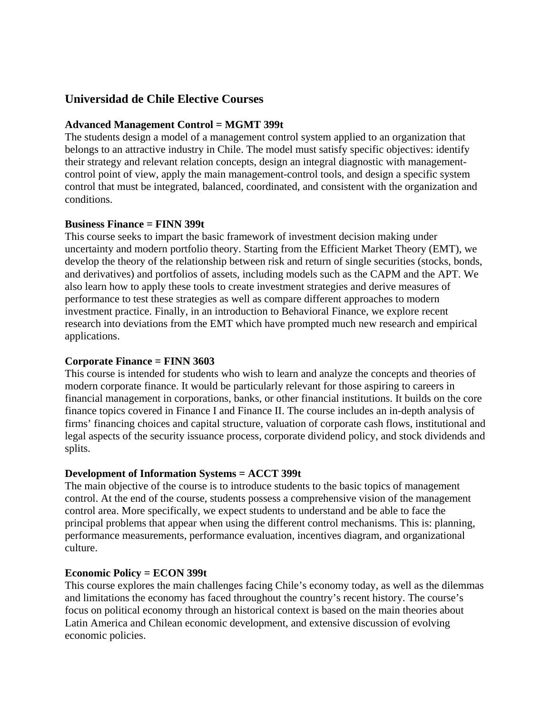#### **Universidad de Chile Elective Courses**

#### **Advanced Management Control = MGMT 399t**

The students design a model of a management control system applied to an organization that belongs to an attractive industry in Chile. The model must satisfy specific objectives: identify their strategy and relevant relation concepts, design an integral diagnostic with managementcontrol point of view, apply the main management-control tools, and design a specific system control that must be integrated, balanced, coordinated, and consistent with the organization and conditions.

#### **Business Finance = FINN 399t**

This course seeks to impart the basic framework of investment decision making under uncertainty and modern portfolio theory. Starting from the Efficient Market Theory (EMT), we develop the theory of the relationship between risk and return of single securities (stocks, bonds, and derivatives) and portfolios of assets, including models such as the CAPM and the APT. We also learn how to apply these tools to create investment strategies and derive measures of performance to test these strategies as well as compare different approaches to modern investment practice. Finally, in an introduction to Behavioral Finance, we explore recent research into deviations from the EMT which have prompted much new research and empirical applications.

#### **Corporate Finance = FINN 3603**

This course is intended for students who wish to learn and analyze the concepts and theories of modern corporate finance. It would be particularly relevant for those aspiring to careers in financial management in corporations, banks, or other financial institutions. It builds on the core finance topics covered in Finance I and Finance II. The course includes an in-depth analysis of firms' financing choices and capital structure, valuation of corporate cash flows, institutional and legal aspects of the security issuance process, corporate dividend policy, and stock dividends and splits.

#### **Development of Information Systems = ACCT 399t**

The main objective of the course is to introduce students to the basic topics of management control. At the end of the course, students possess a comprehensive vision of the management control area. More specifically, we expect students to understand and be able to face the principal problems that appear when using the different control mechanisms. This is: planning, performance measurements, performance evaluation, incentives diagram, and organizational culture.

#### **Economic Policy = ECON 399t**

This course explores the main challenges facing Chile's economy today, as well as the dilemmas and limitations the economy has faced throughout the country's recent history. The course's focus on political economy through an historical context is based on the main theories about Latin America and Chilean economic development, and extensive discussion of evolving economic policies.